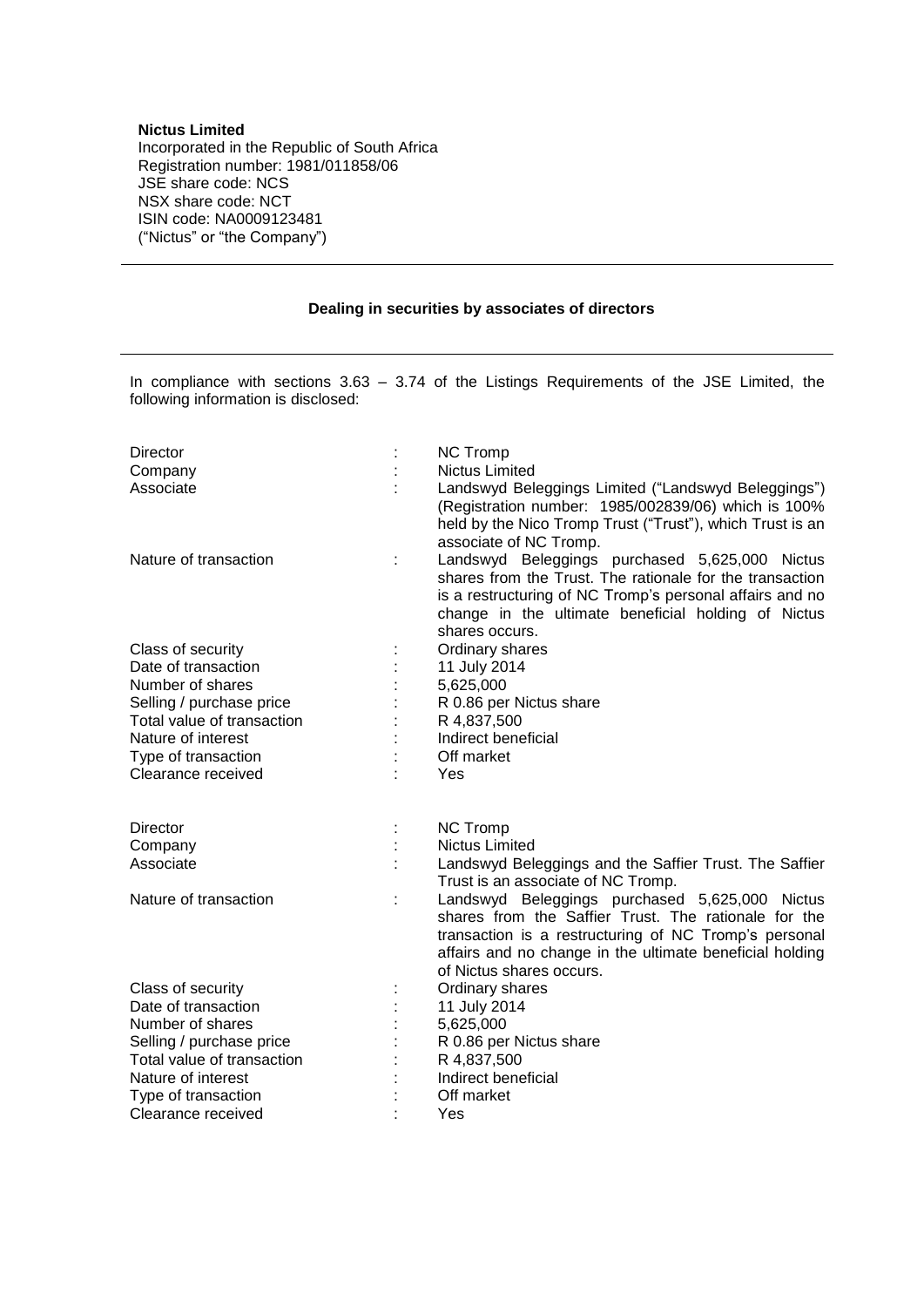## **Nictus Limited**

Incorporated in the Republic of South Africa Registration number: 1981/011858/06 JSE share code: NCS NSX share code: NCT ISIN code: NA0009123481 ("Nictus" or "the Company")

## **Dealing in securities by associates of directors**

In compliance with sections 3.63 – 3.74 of the Listings Requirements of the JSE Limited, the following information is disclosed:

| Director                   |   | <b>NC Tromp</b>                                                                                                                                                                                                                                         |
|----------------------------|---|---------------------------------------------------------------------------------------------------------------------------------------------------------------------------------------------------------------------------------------------------------|
| Company                    |   | <b>Nictus Limited</b>                                                                                                                                                                                                                                   |
| Associate                  |   | Landswyd Beleggings Limited ("Landswyd Beleggings")<br>(Registration number: 1985/002839/06) which is 100%<br>held by the Nico Tromp Trust ("Trust"), which Trust is an<br>associate of NC Tromp.                                                       |
| Nature of transaction      | t | Landswyd Beleggings purchased 5,625,000 Nictus<br>shares from the Trust. The rationale for the transaction<br>is a restructuring of NC Tromp's personal affairs and no<br>change in the ultimate beneficial holding of Nictus<br>shares occurs.         |
| Class of security          |   | Ordinary shares                                                                                                                                                                                                                                         |
| Date of transaction        |   | 11 July 2014                                                                                                                                                                                                                                            |
| Number of shares           |   | 5,625,000                                                                                                                                                                                                                                               |
| Selling / purchase price   |   | R 0.86 per Nictus share                                                                                                                                                                                                                                 |
| Total value of transaction |   | R 4,837,500                                                                                                                                                                                                                                             |
| Nature of interest         |   | Indirect beneficial                                                                                                                                                                                                                                     |
| Type of transaction        |   | Off market                                                                                                                                                                                                                                              |
| Clearance received         |   | Yes                                                                                                                                                                                                                                                     |
| <b>Director</b>            |   | <b>NC Tromp</b>                                                                                                                                                                                                                                         |
| Company                    |   | <b>Nictus Limited</b>                                                                                                                                                                                                                                   |
| Associate                  |   | Landswyd Beleggings and the Saffier Trust. The Saffier<br>Trust is an associate of NC Tromp.                                                                                                                                                            |
| Nature of transaction      | t | Landswyd Beleggings purchased 5,625,000 Nictus<br>shares from the Saffier Trust. The rationale for the<br>transaction is a restructuring of NC Tromp's personal<br>affairs and no change in the ultimate beneficial holding<br>of Nictus shares occurs. |
| Class of security          |   | Ordinary shares                                                                                                                                                                                                                                         |
| Date of transaction        |   | 11 July 2014                                                                                                                                                                                                                                            |
| Number of shares           |   | 5,625,000                                                                                                                                                                                                                                               |
| Selling / purchase price   |   | R 0.86 per Nictus share                                                                                                                                                                                                                                 |
| Total value of transaction |   | R 4,837,500                                                                                                                                                                                                                                             |
| Nature of interest         |   | Indirect beneficial                                                                                                                                                                                                                                     |
| Type of transaction        |   | Off market                                                                                                                                                                                                                                              |
| Clearance received         |   | Yes                                                                                                                                                                                                                                                     |